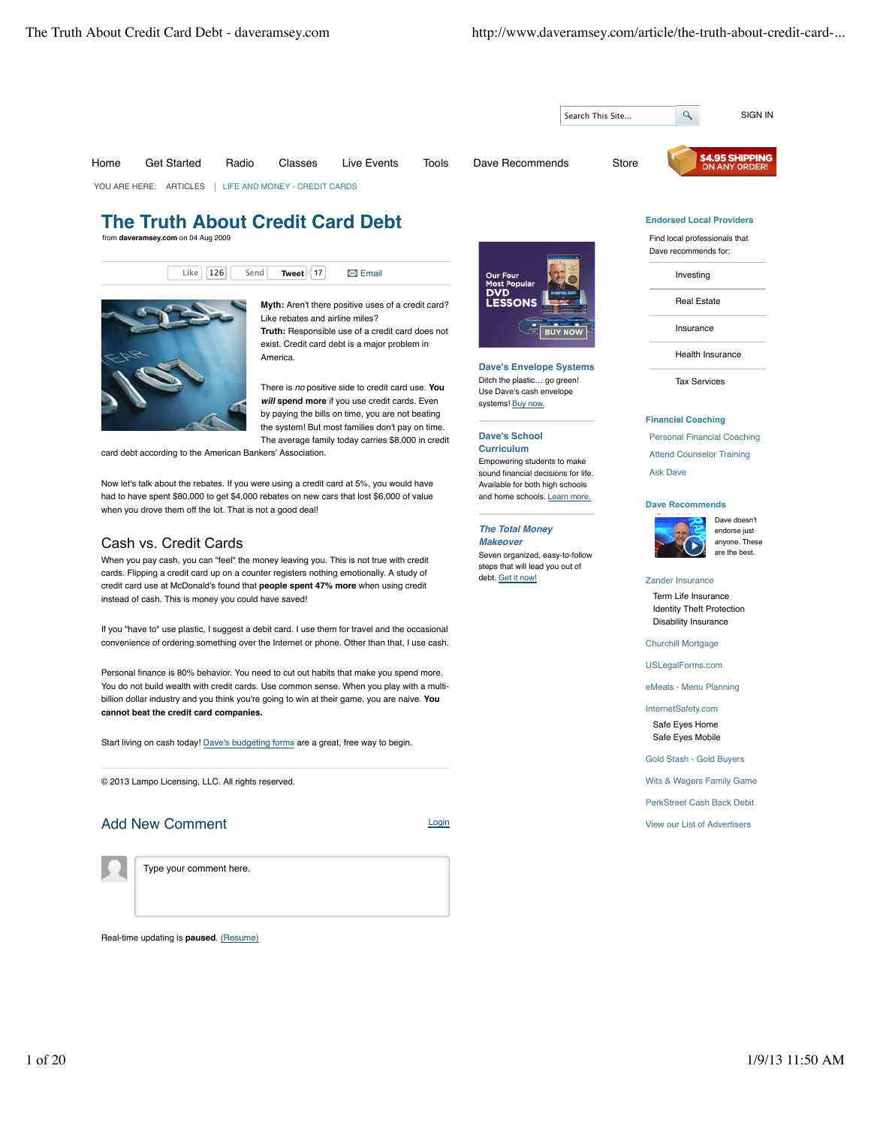

Now let's talk about the rebates. If you were using a credit card at 5%, you would have had to have spent \$80,000 to get \$4,000 rebates on new cars that lost \$6,000 of value when you drove them off the lot. That is not a good deal!

## Cash vs. Credit Cards

When you pay cash, you can "feel" the money leaving you. This is not true with credit cards. Flipping a credit card up on a counter registers nothing emotionally. A study of credit card use at McDonald's found that **people spent 47% more** when using credit instead of cash. This is money you could have saved!

If you "have to" use plastic, I suggest a debit card. I use them for travel and the occasional convenience of ordering something over the Internet or phone. Other than that, I use cash.

Personal finance is 80% behavior. You need to cut out habits that make you spend more. You do not build wealth with credit cards. Use common sense. When you play with a multibillion dollar industry and you think you're going to win at their game, you are naive. **You cannot beat the credit card companies.**

Start living on cash today! Dave's budgeting forms are a great, free way to begin.

© 2013 Lampo Licensing, LLC. All rights reserved.

## Add New Comment Login



Type your comment here.

Real-time updating is **paused**. (Resume)

Empowering students to make sound financial decisions for life. Available for both high schools and home schools. Learn more.

#### **The Total Money Makeover**

Seven organized, easy-to-follow steps that will lead you out of debt. Get it now!



Ask Dave



# Zander Insurance

Term Life Insurance Identity Theft Protection Disability Insurance

Churchill Mortgage

USLegalForms.com

eMeals - Menu Planning

InternetSafety.com Safe Eyes Home Safe Eyes Mobile

Gold Stash - Gold Buyers

Wits & Wagers Family Game

PerkStreet Cash Back Debit

View our List of Advertisers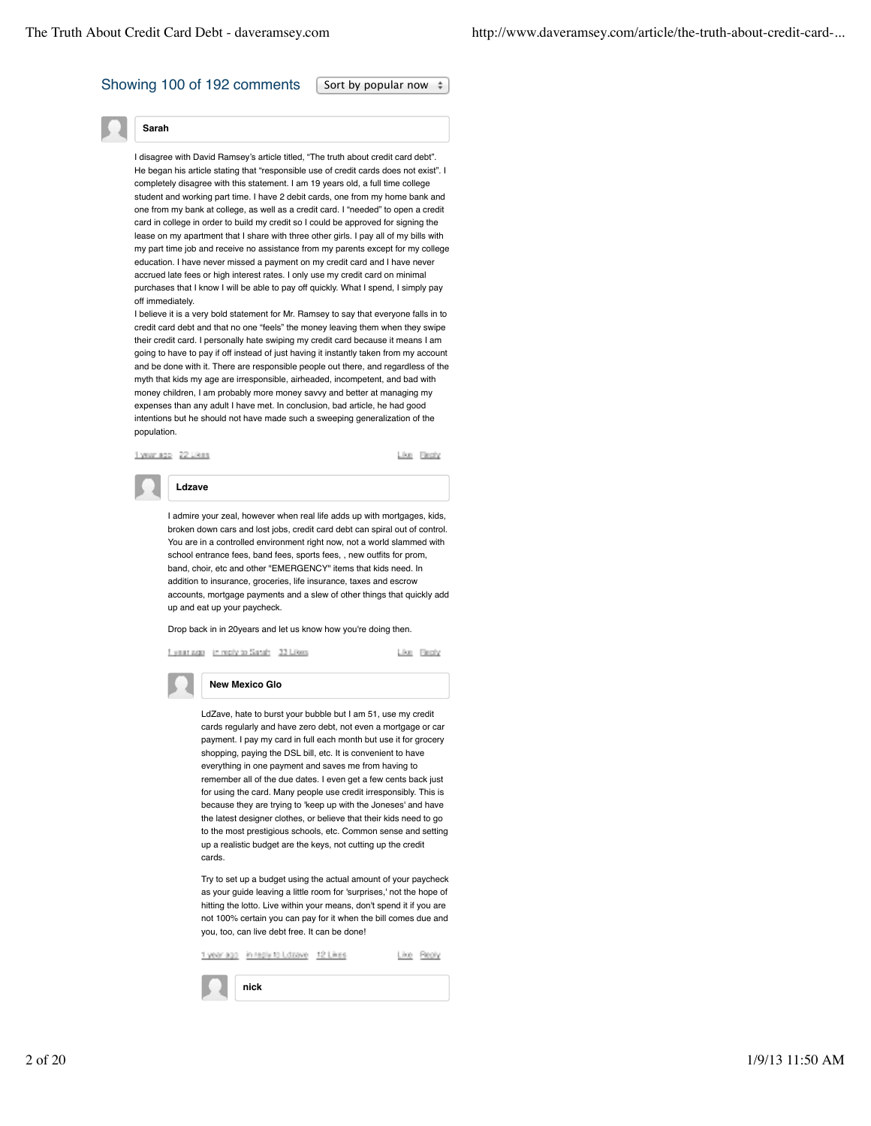## Showing 100 of 192 comments  $\sqrt{\frac{1}{1}}$  Sort by popular now  $\pm$



I disagree with David Ramsey's article titled, "The truth about credit card debt" He began his article stating that "responsible use of credit cards does not exist". I completely disagree with this statement. I am 19 years old, a full time college student and working part time. I have 2 debit cards, one from my home bank and one from my bank at college, as well as a credit card. I "needed" to open a credit card in college in order to build my credit so I could be approved for signing the lease on my apartment that I share with three other girls. I pay all of my bills with my part time job and receive no assistance from my parents except for my college education. I have never missed a payment on my credit card and I have never accrued late fees or high interest rates. I only use my credit card on minimal purchases that I know I will be able to pay off quickly. What I spend, I simply pay off immediately.

I believe it is a very bold statement for Mr. Ramsey to say that everyone falls in to credit card debt and that no one "feels" the money leaving them when they swipe their credit card. I personally hate swiping my credit card because it means I am going to have to pay if off instead of just having it instantly taken from my account and be done with it. There are responsible people out there, and regardless of the myth that kids my age are irresponsible, airheaded, incompetent, and bad with money children, I am probably more money savvy and better at managing my expenses than any adult I have met. In conclusion, bad article, he had good intentions but he should not have made such a sweeping generalization of the population.



Like Flechy



I admire your zeal, however when real life adds up with mortgages, kids, broken down cars and lost jobs, credit card debt can spiral out of control. You are in a controlled environment right now, not a world slammed with school entrance fees, band fees, sports fees, , new outfits for prom, band, choir, etc and other "EMERGENCY" items that kids need. In addition to insurance, groceries, life insurance, taxes and escrow accounts, mortgage payments and a slew of other things that quickly add up and eat up your paycheck.

Drop back in in 20years and let us know how you're doing then.



Like Beply

**New Mexico Glo**

LdZave, hate to burst your bubble but I am 51, use my credit cards regularly and have zero debt, not even a mortgage or car payment. I pay my card in full each month but use it for grocery shopping, paying the DSL bill, etc. It is convenient to have everything in one payment and saves me from having to remember all of the due dates. I even get a few cents back just for using the card. Many people use credit irresponsibly. This is because they are trying to 'keep up with the Joneses' and have the latest designer clothes, or believe that their kids need to go to the most prestigious schools, etc. Common sense and setting up a realistic budget are the keys, not cutting up the credit cards.

Try to set up a budget using the actual amount of your paycheck as your guide leaving a little room for 'surprises,' not the hope of hitting the lotto. Live within your means, don't spend it if you are not 100% certain you can pay for it when the bill comes due and you, too, can live debt free. It can be done!

| in regis to Ldzave 12 |  |  |
|-----------------------|--|--|
| nick                  |  |  |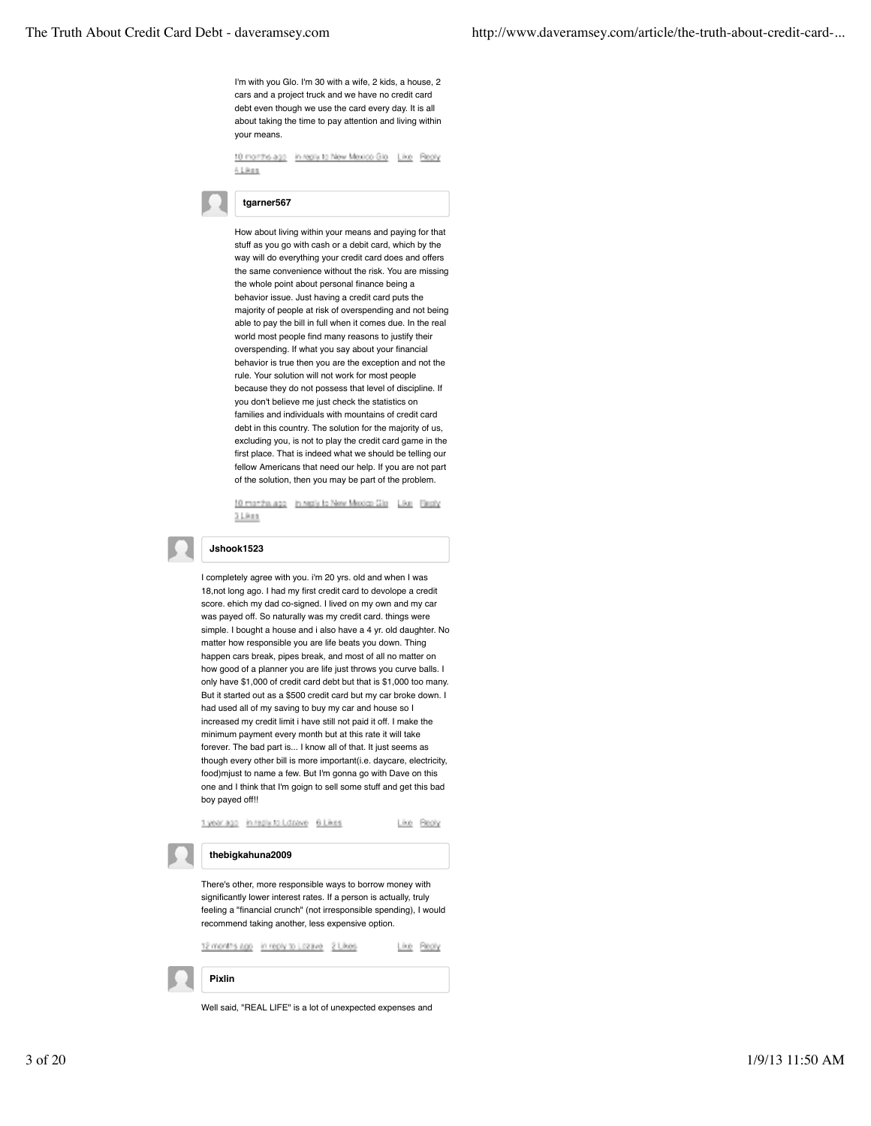I'm with you Glo. I'm 30 with a wife, 2 kids, a house, 2 cars and a project truck and we have no credit card debt even though we use the card every day. It is all about taking the time to pay attention and living within your means.

10 months ago in reply to New Mexico Gio Like Reply 41,988

## **tgarner567**

How about living within your means and paying for that stuff as you go with cash or a debit card, which by the way will do everything your credit card does and offers the same convenience without the risk. You are missing the whole point about personal finance being a behavior issue. Just having a credit card puts the majority of people at risk of overspending and not being able to pay the bill in full when it comes due. In the real world most people find many reasons to justify their overspending. If what you say about your financial behavior is true then you are the exception and not the rule. Your solution will not work for most people because they do not possess that level of discipline. If you don't believe me just check the statistics on families and individuals with mountains of credit card debt in this country. The solution for the majority of us, excluding you, is not to play the credit card game in the first place. That is indeed what we should be telling our fellow Americans that need our help. If you are not part of the solution, then you may be part of the problem.

10 months ago In reply to New Mexico Gia Like Besly  $31801$ 

## **Jshook1523**

I completely agree with you. i'm 20 yrs. old and when I was 18,not long ago. I had my first credit card to devolope a credit score. ehich my dad co-signed. I lived on my own and my car was payed off. So naturally was my credit card. things were simple. I bought a house and i also have a 4 yr. old daughter. No matter how responsible you are life beats you down. Thing happen cars break, pipes break, and most of all no matter on how good of a planner you are life just throws you curve balls. I only have \$1,000 of credit card debt but that is \$1,000 too many. But it started out as a \$500 credit card but my car broke down. I had used all of my saving to buy my car and house so I increased my credit limit i have still not paid it off. I make the minimum payment every month but at this rate it will take forever. The bad part is... I know all of that. It just seems as though every other bill is more important(i.e. daycare, electricity, food)mjust to name a few. But I'm gonna go with Dave on this one and I think that I'm goign to sell some stuff and get this bad boy payed off!!

1year.ago in regiy to Losave 6 Likes Like Beply **thebigkahuna2009** There's other, more responsible ways to borrow money with significantly lower interest rates. If a person is actually, truly feeling a "financial crunch" (not irresponsible spending), I would recommend taking another, less expensive option. 12 months ago in reply to Lizave 2 Likes Like Reply **Pixlin**

Well said, "REAL LIFE" is a lot of unexpected expenses and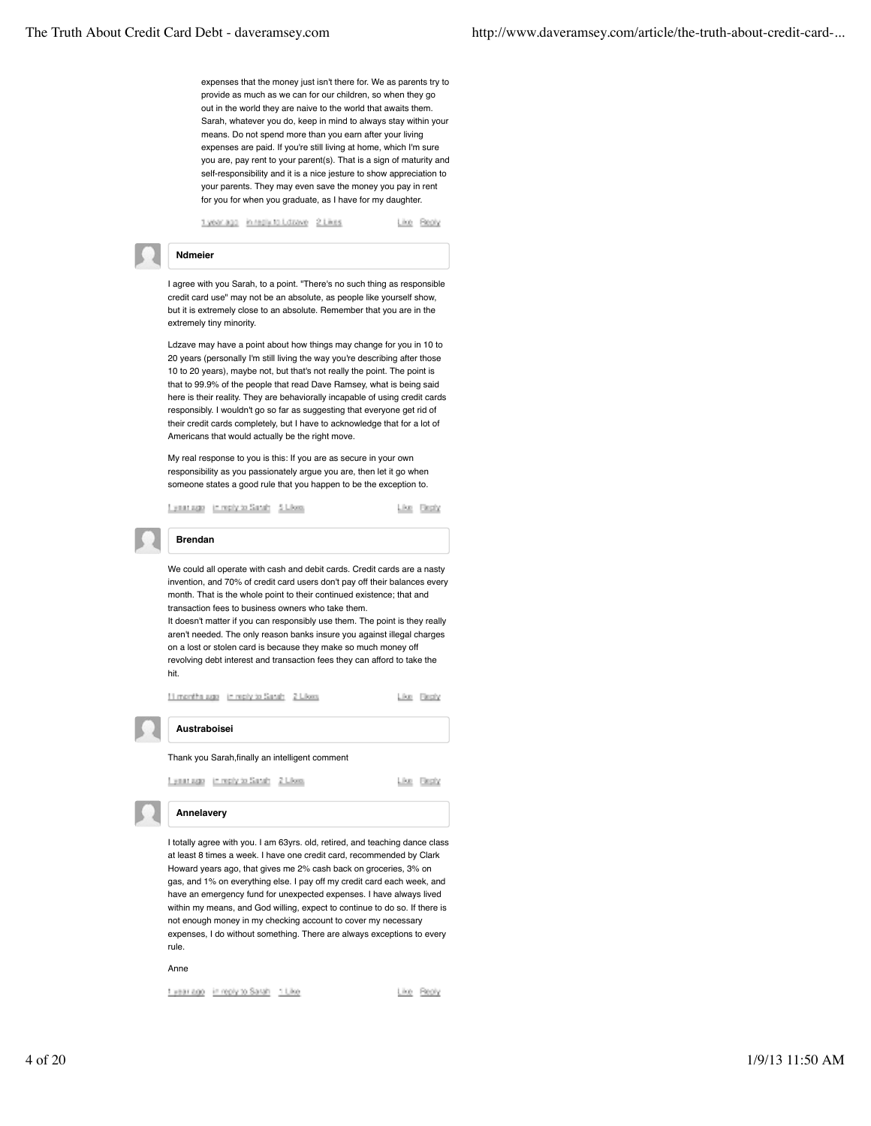expenses that the money just isn't there for. We as parents try to provide as much as we can for our children, so when they go out in the world they are naive to the world that awaits them. Sarah, whatever you do, keep in mind to always stay within your means. Do not spend more than you earn after your living expenses are paid. If you're still living at home, which I'm sure you are, pay rent to your parent(s). That is a sign of maturity and self-responsibility and it is a nice jesture to show appreciation to your parents. They may even save the money you pay in rent for you for when you graduate, as I have for my daughter.

1year.ago in registo Libave 2 Likes Like Beoly

#### **Ndmeier**

I agree with you Sarah, to a point. "There's no such thing as responsible credit card use" may not be an absolute, as people like yourself show, but it is extremely close to an absolute. Remember that you are in the extremely tiny minority.

Ldzave may have a point about how things may change for you in 10 to 20 years (personally I'm still living the way you're describing after those 10 to 20 years), maybe not, but that's not really the point. The point is that to 99.9% of the people that read Dave Ramsey, what is being said here is their reality. They are behaviorally incapable of using credit cards responsibly. I wouldn't go so far as suggesting that everyone get rid of their credit cards completely, but I have to acknowledge that for a lot of Americans that would actually be the right move.

My real response to you is this: If you are as secure in your own responsibility as you passionately argue you are, then let it go when someone states a good rule that you happen to be the exception to.

Lynariago in reply to Sanah 5 Likes

Like Besty

Like Besty

Like Besty

**Brendan**

We could all operate with cash and debit cards. Credit cards are a nasty invention, and 70% of credit card users don't pay off their balances every month. That is the whole point to their continued existence; that and transaction fees to business owners who take them. It doesn't matter if you can responsibly use them. The point is they really aren't needed. The only reason banks insure you against illegal charges on a lost or stolen card is because they make so much money off revolving debt interest and transaction fees they can afford to take the hit.

11 months ago in reply to Sanah 2 Likes

**Austraboisei**

## Thank you Sarah,finally an intelligent comment

Lynanuge in reply to Sanah 2 Likes

**Annelavery**

I totally agree with you. I am 63yrs. old, retired, and teaching dance class at least 8 times a week. I have one credit card, recommended by Clark Howard years ago, that gives me 2% cash back on groceries, 3% on gas, and 1% on everything else. I pay off my credit card each week, and have an emergency fund for unexpected expenses. I have always lived within my means, and God willing, expect to continue to do so. If there is not enough money in my checking account to cover my necessary expenses, I do without something. There are always exceptions to every rule.

Anne

1 year ago in reply to Sarah 1 Like

Like Reply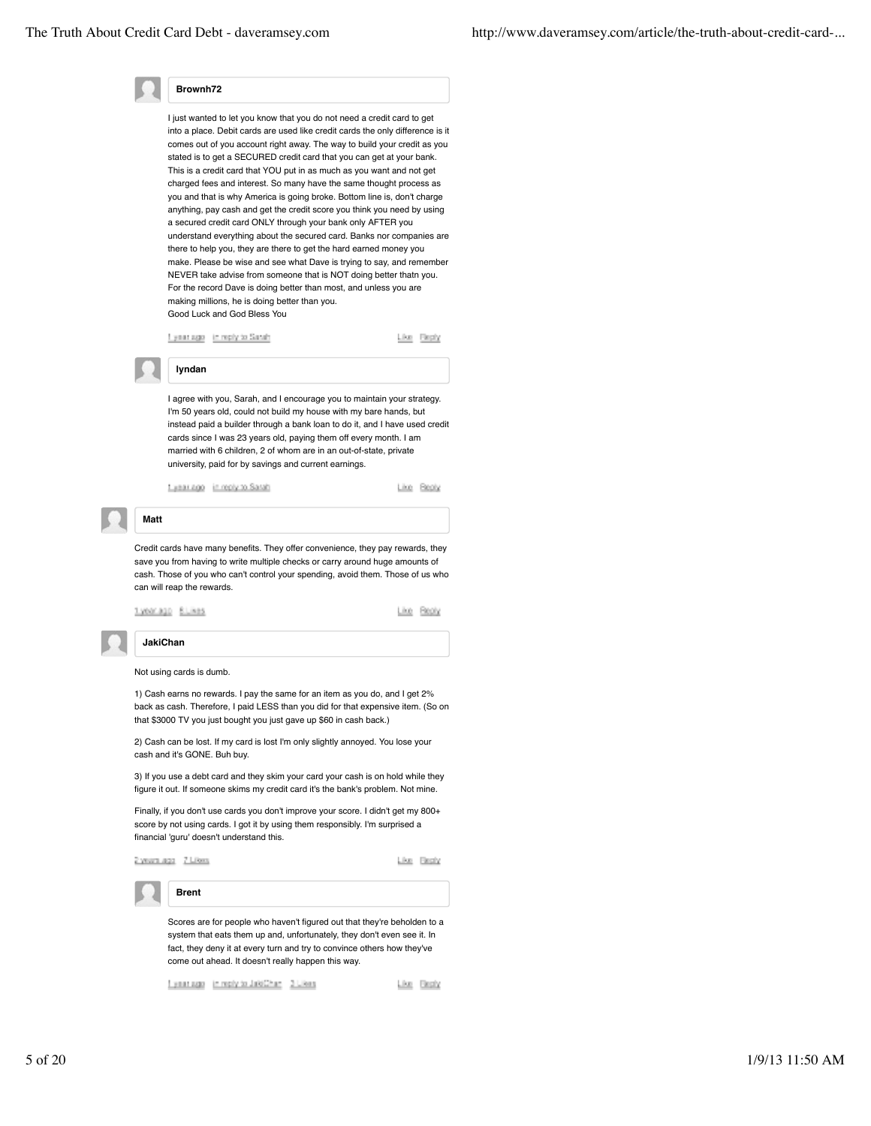

I just wanted to let you know that you do not need a credit card to get into a place. Debit cards are used like credit cards the only difference is it comes out of you account right away. The way to build your credit as you stated is to get a SECURED credit card that you can get at your bank. This is a credit card that YOU put in as much as you want and not get charged fees and interest. So many have the same thought process as you and that is why America is going broke. Bottom line is, don't charge anything, pay cash and get the credit score you think you need by using a secured credit card ONLY through your bank only AFTER you understand everything about the secured card. Banks nor companies are there to help you, they are there to get the hard earned money you make. Please be wise and see what Dave is trying to say, and remember NEVER take advise from someone that is NOT doing better thatn you. For the record Dave is doing better than most, and unless you are making millions, he is doing better than you. Good Luck and God Bless You

<u>I ynatago i'r reply to Satah</u>

Like Reply

I agree with you, Sarah, and I encourage you to maintain your strategy. I'm 50 years old, could not build my house with my bare hands, but instead paid a builder through a bank loan to do it, and I have used credit cards since I was 23 years old, paying them off every month. I am married with 6 children, 2 of whom are in an out-of-state, private university, paid for by savings and current earnings.

f year ago in reply to Sarah

**lyndan**

Line Beply

Credit cards have many benefits. They offer convenience, they pay rewards, they save you from having to write multiple checks or carry around huge amounts of cash. Those of you who can't control your spending, avoid them. Those of us who can will reap the rewards.

tyeerage Blikes

Like Beply

## **JakiChan**

**Matt**

Not using cards is dumb.

1) Cash earns no rewards. I pay the same for an item as you do, and I get 2% back as cash. Therefore, I paid LESS than you did for that expensive item. (So on that \$3000 TV you just bought you just gave up \$60 in cash back.)

2) Cash can be lost. If my card is lost I'm only slightly annoyed. You lose your cash and it's GONE. Buh buy.

3) If you use a debt card and they skim your card your cash is on hold while they figure it out. If someone skims my credit card it's the bank's problem. Not mine.

Finally, if you don't use cards you don't improve your score. I didn't get my 800+ score by not using cards. I got it by using them responsibly. I'm surprised a financial 'guru' doesn't understand this.

2 years ago 7 Likes

**Brent**

Like Besty

Scores are for people who haven't figured out that they're beholden to a system that eats them up and, unfortunately, they don't even see it. In fact, they deny it at every turn and try to convince others how they've come out ahead. It doesn't really happen this way.

Eyearage In reply to JakiChan 3 Likes Like Reply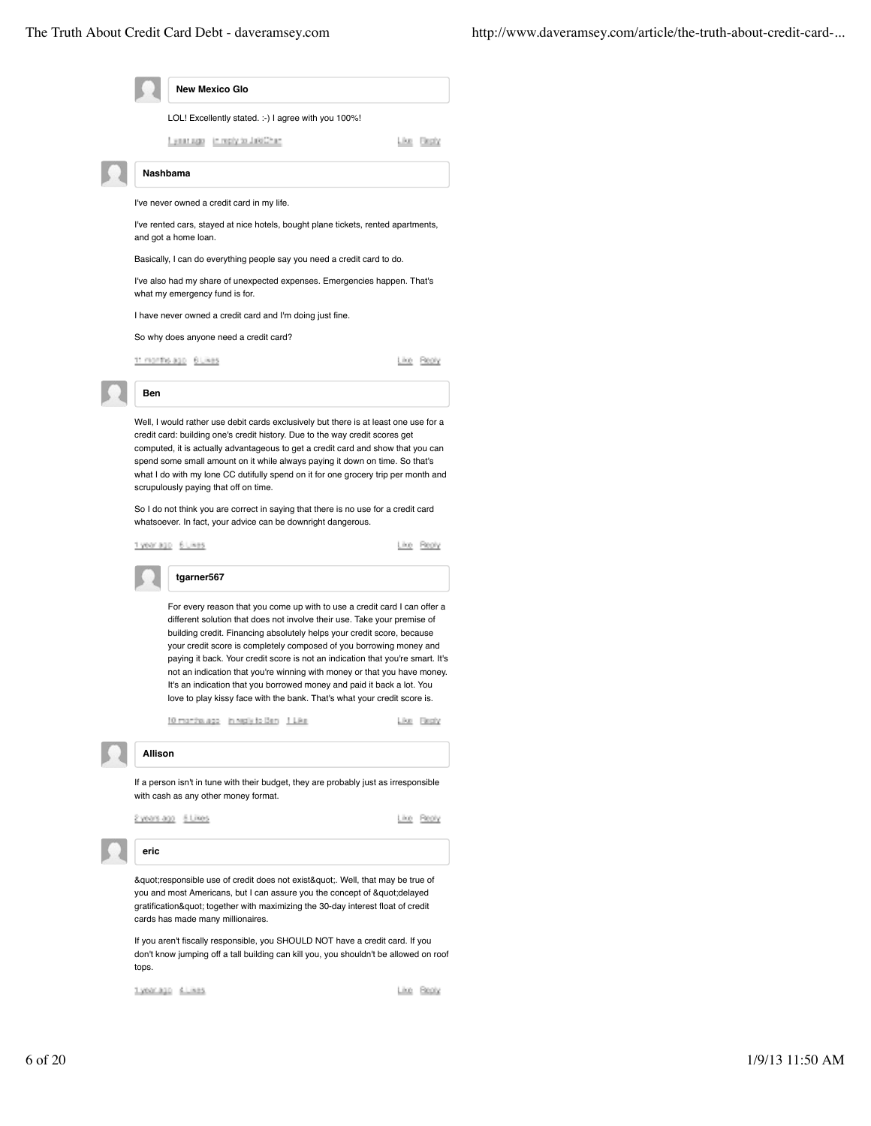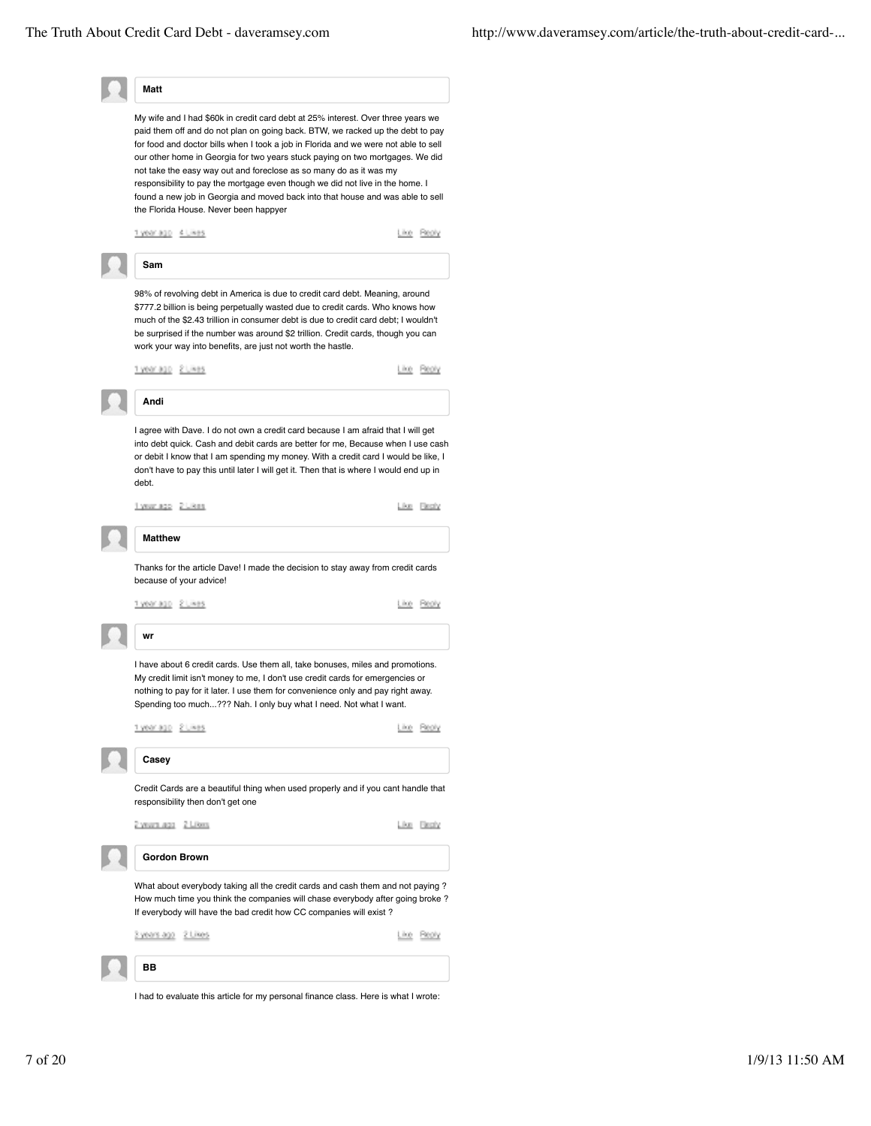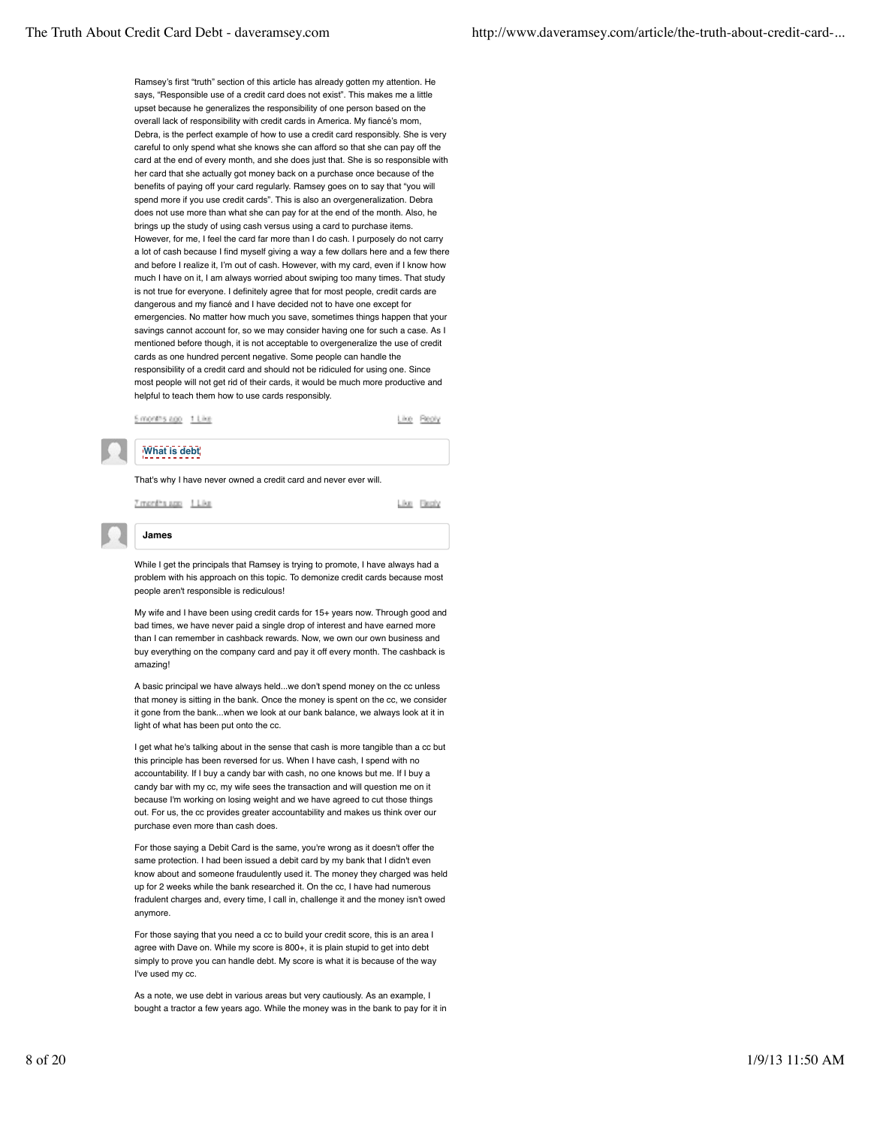Ramsey's first "truth" section of this article has already gotten my attention. He says, "Responsible use of a credit card does not exist". This makes me a little upset because he generalizes the responsibility of one person based on the overall lack of responsibility with credit cards in America. My fiancé's mom, Debra, is the perfect example of how to use a credit card responsibly. She is very careful to only spend what she knows she can afford so that she can pay off the card at the end of every month, and she does just that. She is so responsible with her card that she actually got money back on a purchase once because of the benefits of paying off your card regularly. Ramsey goes on to say that "you will spend more if you use credit cards". This is also an overgeneralization. Debra does not use more than what she can pay for at the end of the month. Also, he brings up the study of using cash versus using a card to purchase items. However, for me, I feel the card far more than I do cash. I purposely do not carry a lot of cash because I find myself giving a way a few dollars here and a few there and before I realize it, I'm out of cash. However, with my card, even if I know how much I have on it, I am always worried about swiping too many times. That study is not true for everyone. I definitely agree that for most people, credit cards are dangerous and my fiancé and I have decided not to have one except for emergencies. No matter how much you save, sometimes things happen that your savings cannot account for, so we may consider having one for such a case. As I mentioned before though, it is not acceptable to overgeneralize the use of credit cards as one hundred percent negative. Some people can handle the responsibility of a credit card and should not be ridiculed for using one. Since most people will not get rid of their cards, it would be much more productive and helpful to teach them how to use cards responsibly.

5 months ago t Like

#### **What is debt**

That's why I have never owned a credit card and never ever will.

7 months app 1 Like

**James**

Like Besty

Like Reply



While I get the principals that Ramsey is trying to promote, I have always had a problem with his approach on this topic. To demonize credit cards because most people aren't responsible is rediculous!

My wife and I have been using credit cards for 15+ years now. Through good and bad times, we have never paid a single drop of interest and have earned more than I can remember in cashback rewards. Now, we own our own business and buy everything on the company card and pay it off every month. The cashback is amazing!

A basic principal we have always held...we don't spend money on the cc unless that money is sitting in the bank. Once the money is spent on the cc, we consider it gone from the bank...when we look at our bank balance, we always look at it in light of what has been put onto the cc.

I get what he's talking about in the sense that cash is more tangible than a cc but this principle has been reversed for us. When I have cash, I spend with no accountability. If I buy a candy bar with cash, no one knows but me. If I buy a candy bar with my cc, my wife sees the transaction and will question me on it because I'm working on losing weight and we have agreed to cut those things out. For us, the cc provides greater accountability and makes us think over our purchase even more than cash does.

For those saying a Debit Card is the same, you're wrong as it doesn't offer the same protection. I had been issued a debit card by my bank that I didn't even know about and someone fraudulently used it. The money they charged was held up for 2 weeks while the bank researched it. On the cc, I have had numerous fradulent charges and, every time, I call in, challenge it and the money isn't owed anymore.

For those saying that you need a cc to build your credit score, this is an area I agree with Dave on. While my score is 800+, it is plain stupid to get into debt simply to prove you can handle debt. My score is what it is because of the way I've used my cc.

As a note, we use debt in various areas but very cautiously. As an example, I bought a tractor a few years ago. While the money was in the bank to pay for it in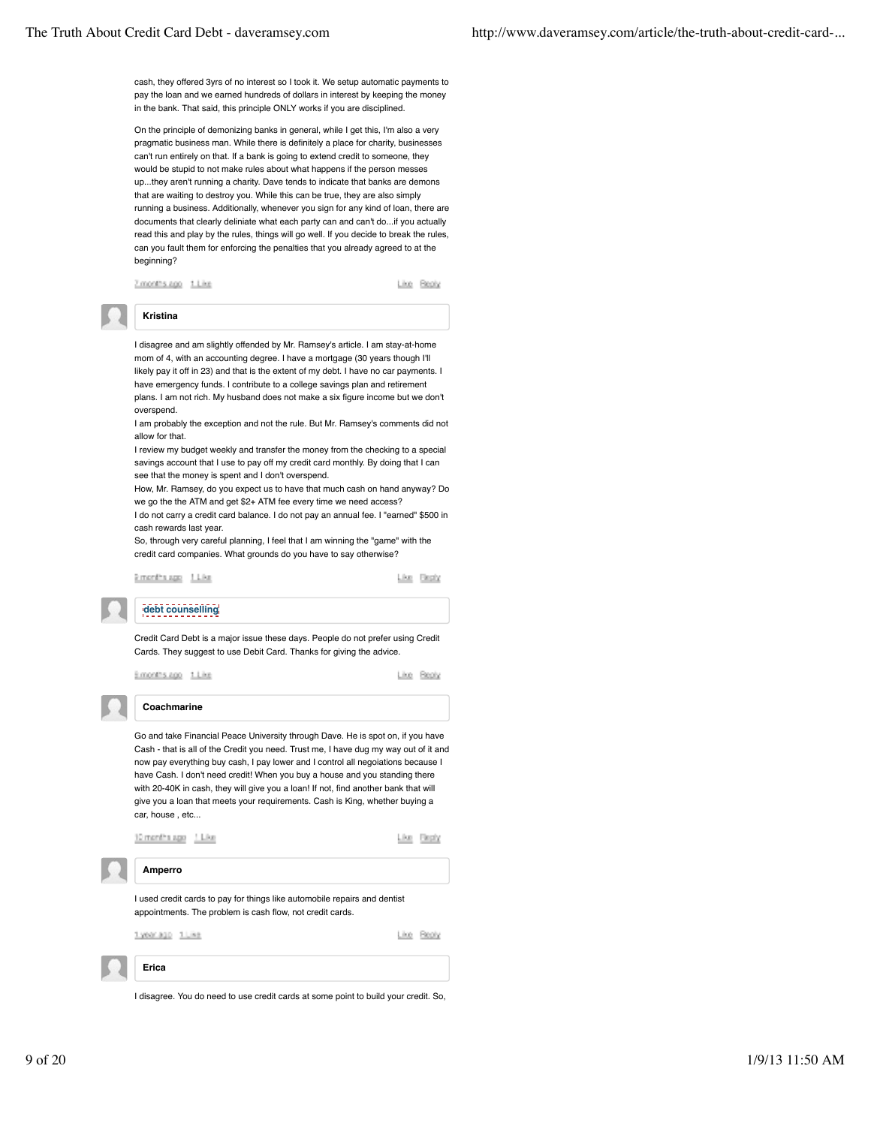cash, they offered 3yrs of no interest so I took it. We setup automatic payments to pay the loan and we earned hundreds of dollars in interest by keeping the money in the bank. That said, this principle ONLY works if you are disciplined.

On the principle of demonizing banks in general, while I get this, I'm also a very pragmatic business man. While there is definitely a place for charity, businesses can't run entirely on that. If a bank is going to extend credit to someone, they would be stupid to not make rules about what happens if the person messes up...they aren't running a charity. Dave tends to indicate that banks are demons that are waiting to destroy you. While this can be true, they are also simply running a business. Additionally, whenever you sign for any kind of loan, there are documents that clearly deliniate what each party can and can't do...if you actually read this and play by the rules, things will go well. If you decide to break the rules, can you fault them for enforcing the penalties that you already agreed to at the beginning?

Zimonths.ago 1.Like

Like Beply

## **Kristina**

I disagree and am slightly offended by Mr. Ramsey's article. I am stay-at-home mom of 4, with an accounting degree. I have a mortgage (30 years though I'll likely pay it off in 23) and that is the extent of my debt. I have no car payments. I have emergency funds. I contribute to a college savings plan and retirement plans. I am not rich. My husband does not make a six figure income but we don't overspend.

I am probably the exception and not the rule. But Mr. Ramsey's comments did not allow for that.

I review my budget weekly and transfer the money from the checking to a special savings account that I use to pay off my credit card monthly. By doing that I can see that the money is spent and I don't overspend.

How, Mr. Ramsey, do you expect us to have that much cash on hand anyway? Do we go the the ATM and get \$2+ ATM fee every time we need access?

I do not carry a credit card balance. I do not pay an annual fee. I "earned" \$500 in cash rewards last year.

So, through very careful planning, I feel that I am winning the "game" with the credit card companies. What grounds do you have to say otherwise?

Emerita.com 11.kg

Like Broty

## **debt counselling**

Credit Card Debt is a major issue these days. People do not prefer using Credit Cards. They suggest to use Debit Card. Thanks for giving the advice.

3.00005.000 1.Live

Line Beply

**Coachmarine**

Go and take Financial Peace University through Dave. He is spot on, if you have

Cash - that is all of the Credit you need. Trust me, I have dug my way out of it and now pay everything buy cash, I pay lower and I control all negoiations because I have Cash. I don't need credit! When you buy a house and you standing there with 20-40K in cash, they will give you a loan! If not, find another bank that will give you a loan that meets your requirements. Cash is King, whether buying a car, house , etc...



I disagree. You do need to use credit cards at some point to build your credit. So,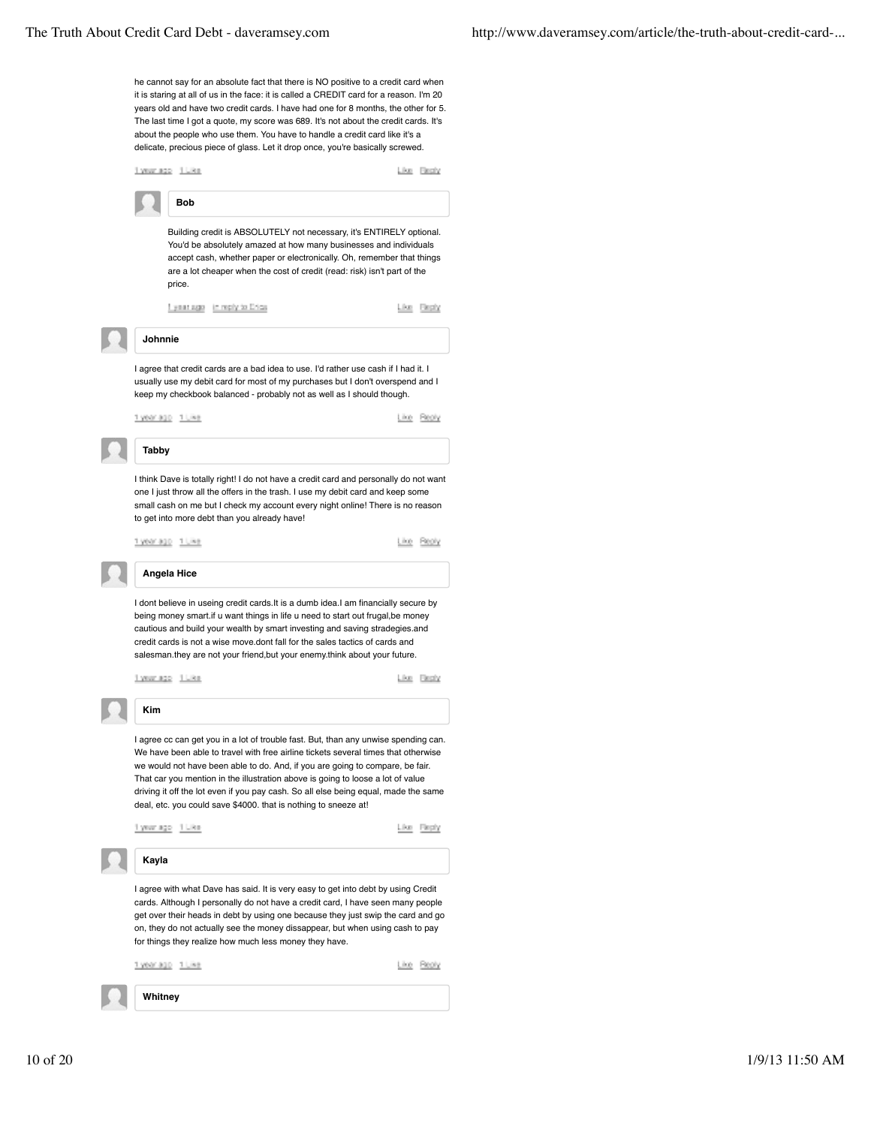he cannot say for an absolute fact that there is NO positive to a credit card when it is staring at all of us in the face: it is called a CREDIT card for a reason. I'm 20 years old and have two credit cards. I have had one for 8 months, the other for 5. The last time I got a quote, my score was 689. It's not about the credit cards. It's about the people who use them. You have to handle a credit card like it's a delicate, precious piece of glass. Let it drop once, you're basically screwed.

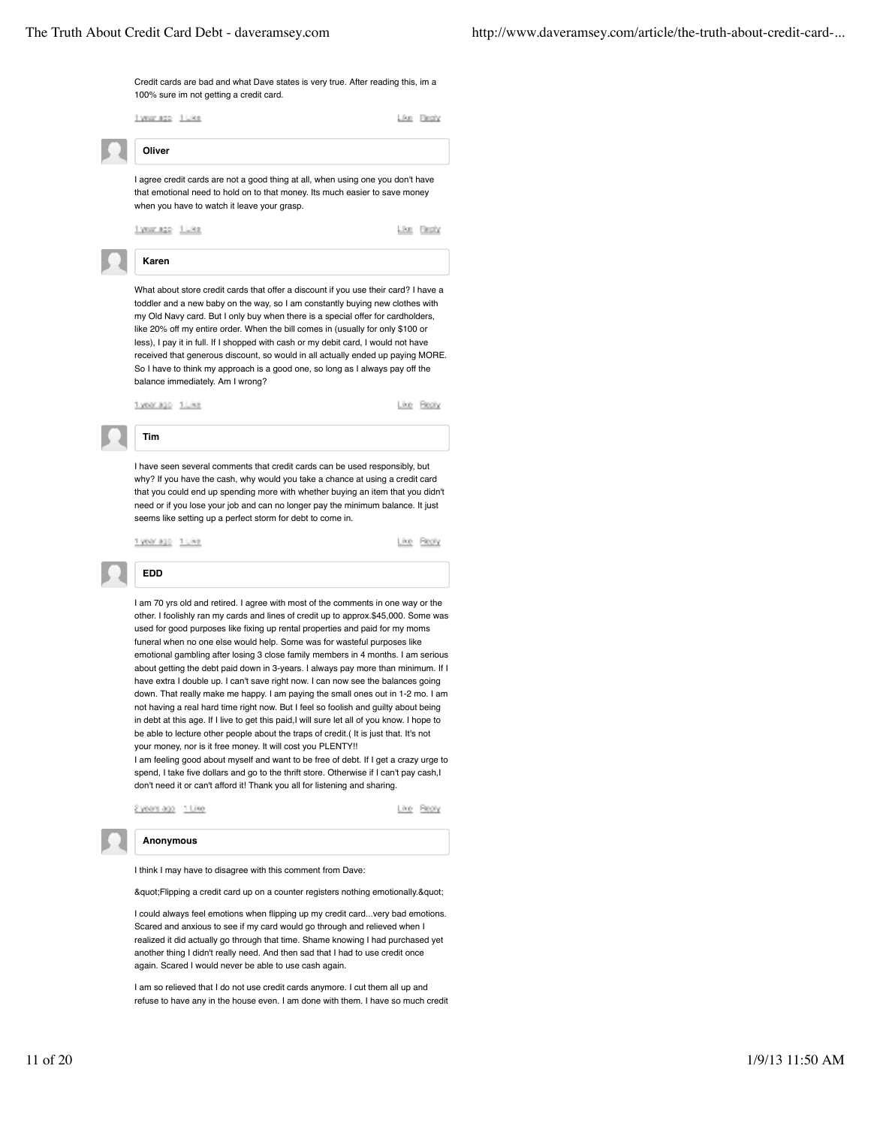

I am so relieved that I do not use credit cards anymore. I cut them all up and refuse to have any in the house even. I am done with them. I have so much credit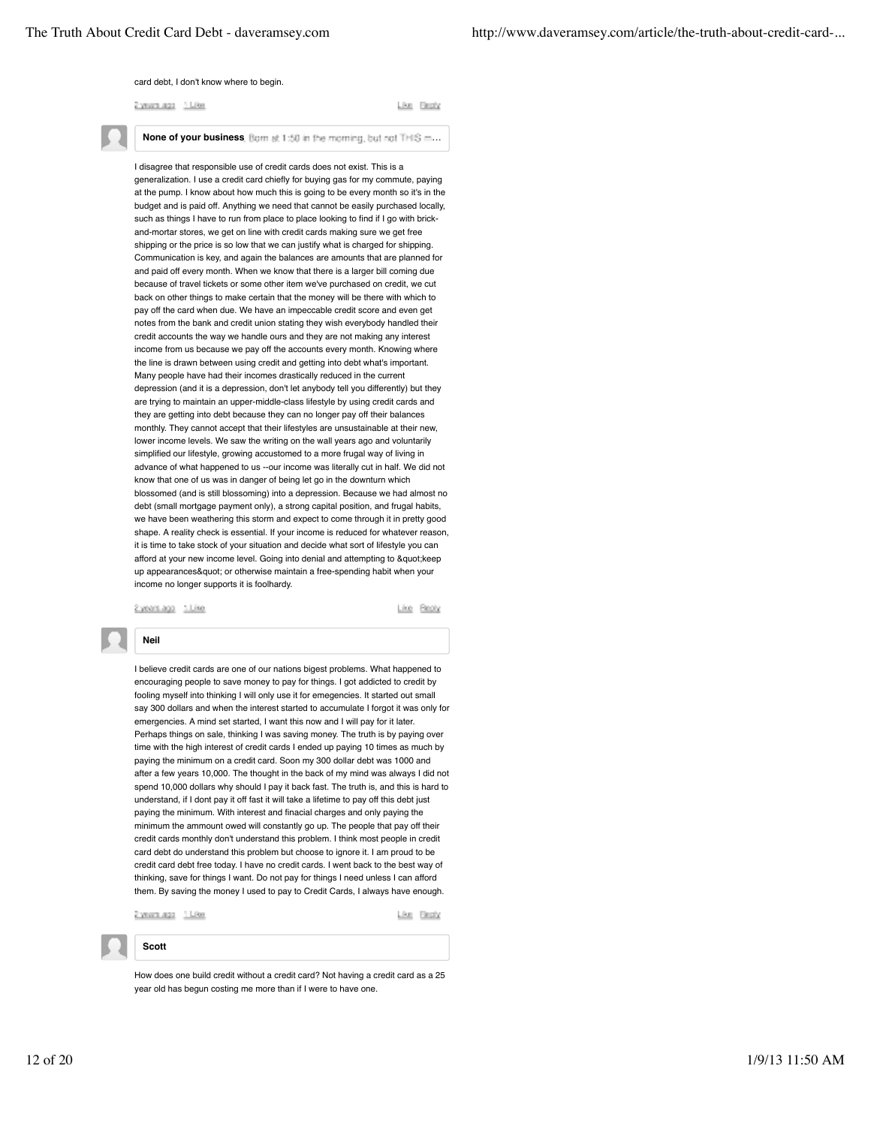#### card debt, I don't know where to begin.

2 years ago 1 Like

Like Firsty

None of your business, Bom at 1:50 in the moming, but not THIS m...

I disagree that responsible use of credit cards does not exist. This is a generalization. I use a credit card chiefly for buying gas for my commute, paying at the pump. I know about how much this is going to be every month so it's in the budget and is paid off. Anything we need that cannot be easily purchased locally, such as things I have to run from place to place looking to find if I go with brickand-mortar stores, we get on line with credit cards making sure we get free shipping or the price is so low that we can justify what is charged for shipping. Communication is key, and again the balances are amounts that are planned for and paid off every month. When we know that there is a larger bill coming due because of travel tickets or some other item we've purchased on credit, we cut back on other things to make certain that the money will be there with which to pay off the card when due. We have an impeccable credit score and even get notes from the bank and credit union stating they wish everybody handled their credit accounts the way we handle ours and they are not making any interest income from us because we pay off the accounts every month. Knowing where the line is drawn between using credit and getting into debt what's important. Many people have had their incomes drastically reduced in the current depression (and it is a depression, don't let anybody tell you differently) but they are trying to maintain an upper-middle-class lifestyle by using credit cards and they are getting into debt because they can no longer pay off their balances monthly. They cannot accept that their lifestyles are unsustainable at their new, lower income levels. We saw the writing on the wall years ago and voluntarily simplified our lifestyle, growing accustomed to a more frugal way of living in advance of what happened to us --our income was literally cut in half. We did not know that one of us was in danger of being let go in the downturn which blossomed (and is still blossoming) into a depression. Because we had almost no debt (small mortgage payment only), a strong capital position, and frugal habits, we have been weathering this storm and expect to come through it in pretty good shape. A reality check is essential. If your income is reduced for whatever reason, it is time to take stock of your situation and decide what sort of lifestyle you can afford at your new income level. Going into denial and attempting to "keep up appearances" or otherwise maintain a free-spending habit when your income no longer supports it is foolhardy.

Eyears.ago 1.Like

Lise Besty

## **Neil**

I believe credit cards are one of our nations bigest problems. What happened to encouraging people to save money to pay for things. I got addicted to credit by fooling myself into thinking I will only use it for emegencies. It started out small say 300 dollars and when the interest started to accumulate I forgot it was only for emergencies. A mind set started, I want this now and I will pay for it later Perhaps things on sale, thinking I was saving money. The truth is by paying over time with the high interest of credit cards I ended up paying 10 times as much by paying the minimum on a credit card. Soon my 300 dollar debt was 1000 and after a few years 10,000. The thought in the back of my mind was always I did not spend 10,000 dollars why should I pay it back fast. The truth is, and this is hard to understand, if I dont pay it off fast it will take a lifetime to pay off this debt just paying the minimum. With interest and finacial charges and only paying the minimum the ammount owed will constantly go up. The people that pay off their credit cards monthly don't understand this problem. I think most people in credit card debt do understand this problem but choose to ignore it. I am proud to be credit card debt free today. I have no credit cards. I went back to the best way of thinking, save for things I want. Do not pay for things I need unless I can afford them. By saving the money I used to pay to Credit Cards, I always have enough.

2 years ago 1 Like

**Scott**

Like Besty

How does one build credit without a credit card? Not having a credit card as a 25 year old has begun costing me more than if I were to have one.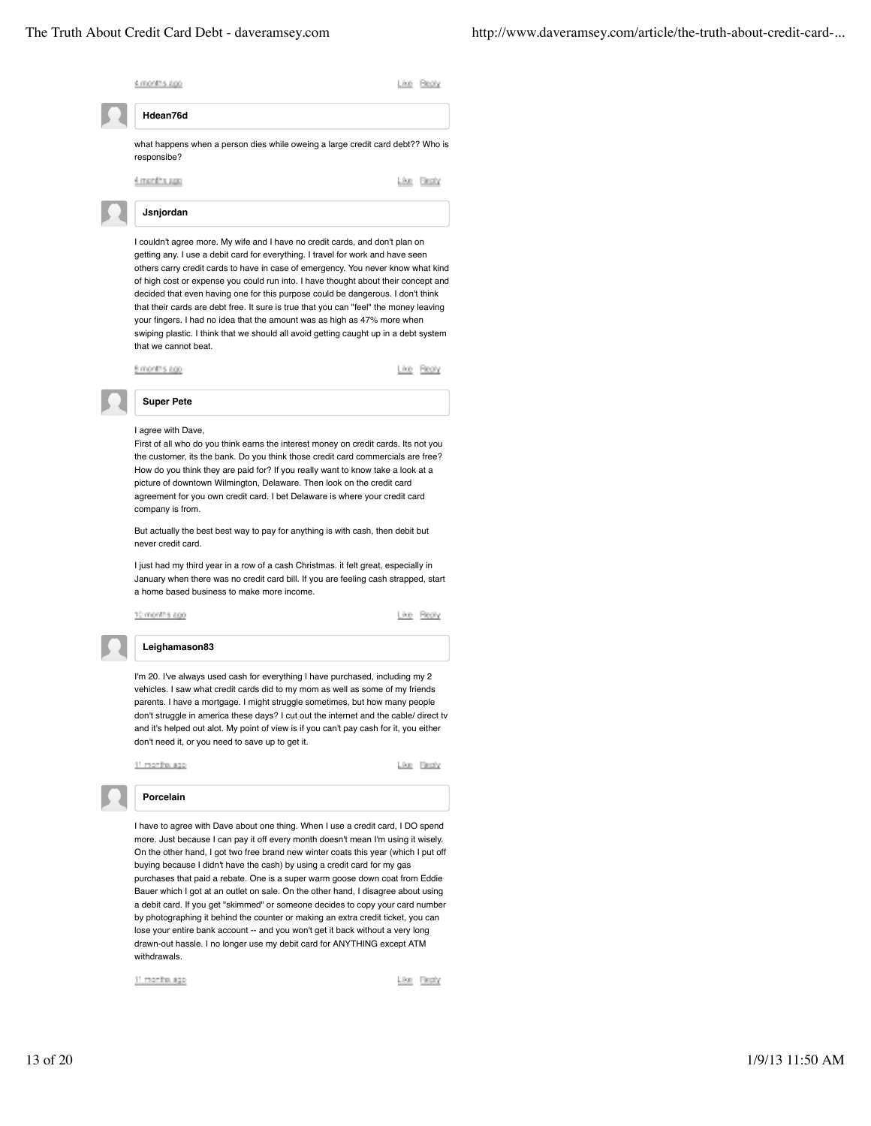

11 months ago

Like Repty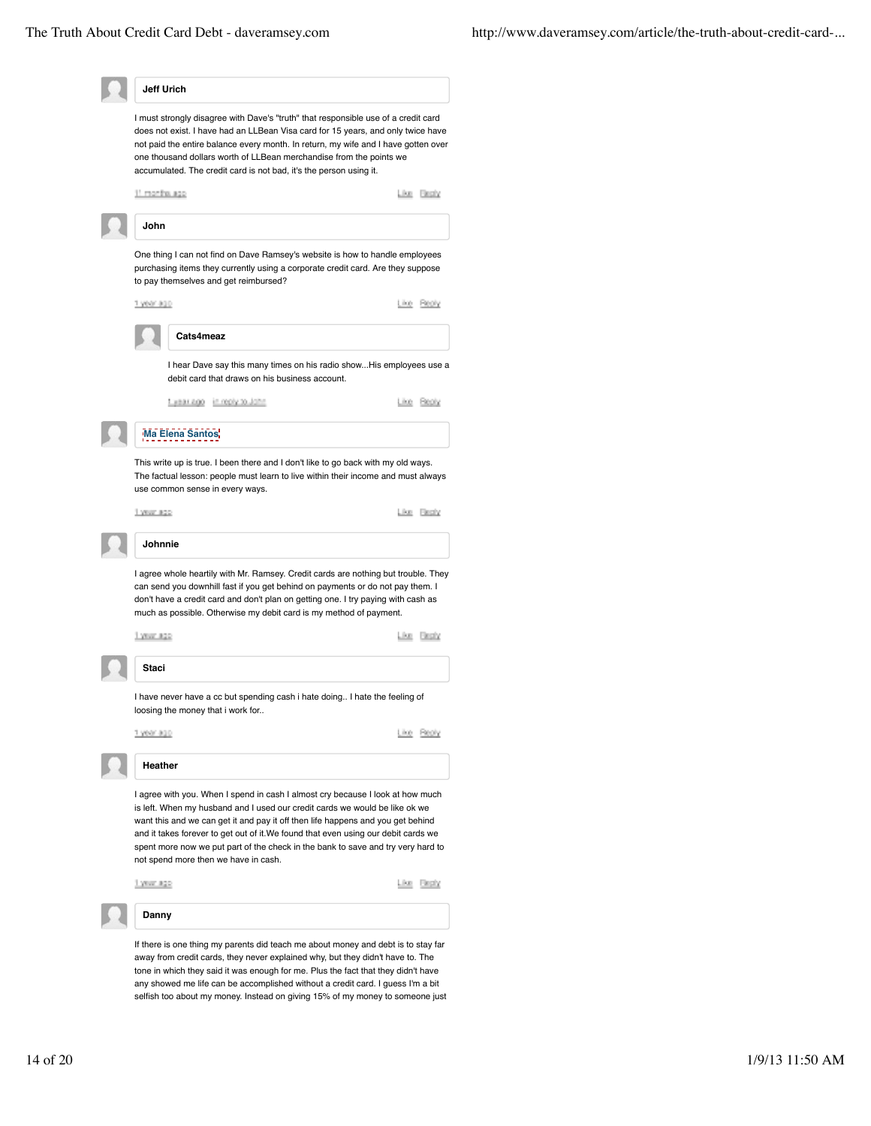|               | Jeff Urich                                                                                                                                                                                                                                                                                                                                                                                                                                                         |                    |
|---------------|--------------------------------------------------------------------------------------------------------------------------------------------------------------------------------------------------------------------------------------------------------------------------------------------------------------------------------------------------------------------------------------------------------------------------------------------------------------------|--------------------|
|               | I must strongly disagree with Dave's "truth" that responsible use of a credit card<br>does not exist. I have had an LLBean Visa card for 15 years, and only twice have<br>not paid the entire balance every month. In return, my wife and I have gotten over<br>one thousand dollars worth of LLBean merchandise from the points we<br>accumulated. The credit card is not bad, it's the person using it.                                                          |                    |
| 11 months ago |                                                                                                                                                                                                                                                                                                                                                                                                                                                                    | Like Besty         |
| John          |                                                                                                                                                                                                                                                                                                                                                                                                                                                                    |                    |
|               | One thing I can not find on Dave Ramsey's website is how to handle employees<br>purchasing items they currently using a corporate credit card. Are they suppose<br>to pay themselves and get reimbursed?                                                                                                                                                                                                                                                           |                    |
| 1 year ago    |                                                                                                                                                                                                                                                                                                                                                                                                                                                                    | Reply<br><b>DO</b> |
|               | Cats4meaz                                                                                                                                                                                                                                                                                                                                                                                                                                                          |                    |
|               | I hear Dave say this many times on his radio showHis employees use a<br>debit card that draws on his business account.                                                                                                                                                                                                                                                                                                                                             |                    |
|               | 1 #881.000 in reply to John                                                                                                                                                                                                                                                                                                                                                                                                                                        | Like Beaty         |
|               | Ma Elena Santos                                                                                                                                                                                                                                                                                                                                                                                                                                                    |                    |
|               | This write up is true. I been there and I don't like to go back with my old ways.<br>The factual lesson: people must learn to live within their income and must always<br>use common sense in every ways.                                                                                                                                                                                                                                                          |                    |
| 1 YEAR #20    |                                                                                                                                                                                                                                                                                                                                                                                                                                                                    | Like Besty         |
| Johnnie       |                                                                                                                                                                                                                                                                                                                                                                                                                                                                    |                    |
|               | can send you downhill fast if you get behind on payments or do not pay them. I<br>don't have a credit card and don't plan on getting one. I try paying with cash as<br>much as possible. Otherwise my debit card is my method of payment.                                                                                                                                                                                                                          |                    |
|               |                                                                                                                                                                                                                                                                                                                                                                                                                                                                    | Like Besty         |
| 1 YEAR #20    |                                                                                                                                                                                                                                                                                                                                                                                                                                                                    |                    |
| Staci         |                                                                                                                                                                                                                                                                                                                                                                                                                                                                    |                    |
|               | I have never have a cc but spending cash i hate doing I hate the feeling of<br>loosing the money that i work for                                                                                                                                                                                                                                                                                                                                                   |                    |
| 1 year ago    |                                                                                                                                                                                                                                                                                                                                                                                                                                                                    | ike Reply          |
| Heather       |                                                                                                                                                                                                                                                                                                                                                                                                                                                                    |                    |
|               | I agree with you. When I spend in cash I almost cry because I look at how much<br>is left. When my husband and I used our credit cards we would be like ok we<br>want this and we can get it and pay it off then life happens and you get behind<br>and it takes forever to get out of it. We found that even using our debit cards we<br>spent more now we put part of the check in the bank to save and try very hard to<br>not spend more then we have in cash. |                    |
| 1.YEW #22     |                                                                                                                                                                                                                                                                                                                                                                                                                                                                    | Like Bepty         |
| Danny         |                                                                                                                                                                                                                                                                                                                                                                                                                                                                    |                    |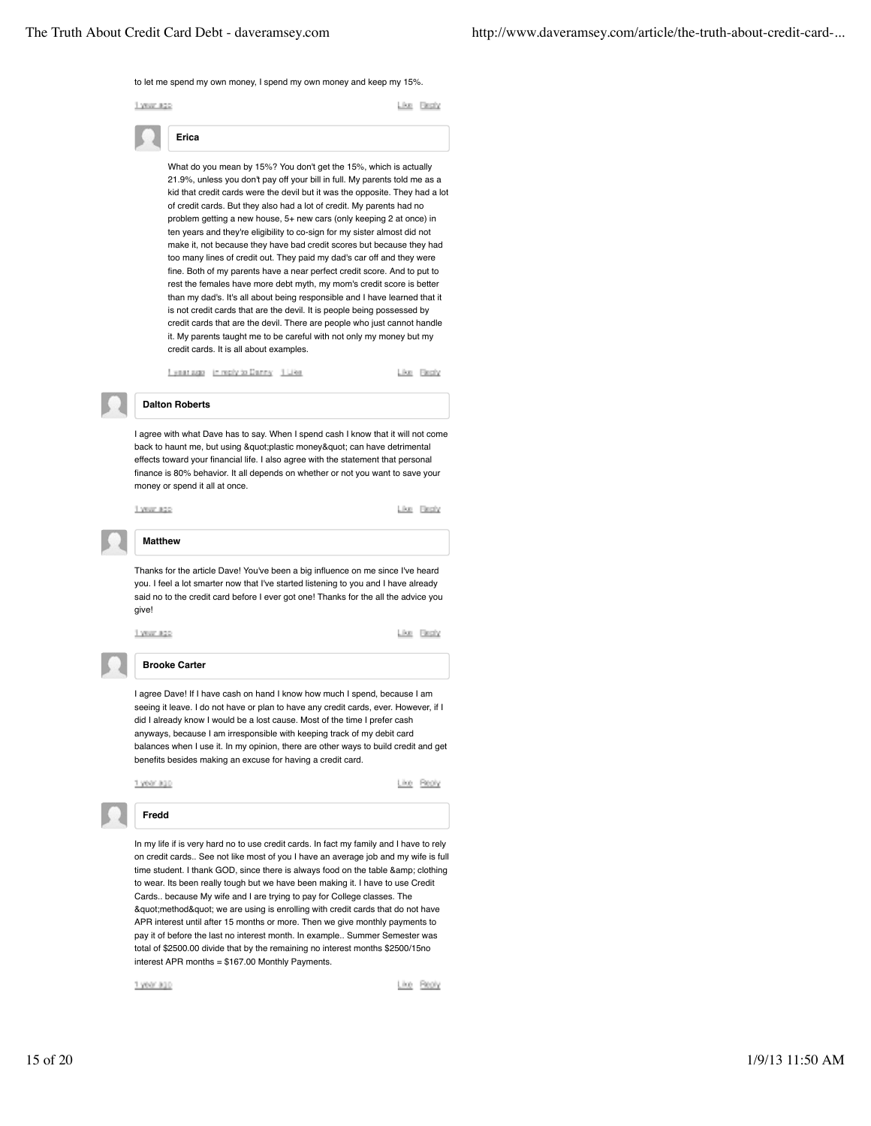#### to let me spend my own money, I spend my own money and keep my 15%.

1 year ago

Like Firsty

**Erica**

What do you mean by 15%? You don't get the 15%, which is actually 21.9%, unless you don't pay off your bill in full. My parents told me as a kid that credit cards were the devil but it was the opposite. They had a lot of credit cards. But they also had a lot of credit. My parents had no problem getting a new house, 5+ new cars (only keeping 2 at once) in ten years and they're eligibility to co-sign for my sister almost did not make it, not because they have bad credit scores but because they had too many lines of credit out. They paid my dad's car off and they were fine. Both of my parents have a near perfect credit score. And to put to rest the females have more debt myth, my mom's credit score is better than my dad's. It's all about being responsible and I have learned that it is not credit cards that are the devil. It is people being possessed by credit cards that are the devil. There are people who just cannot handle it. My parents taught me to be careful with not only my money but my credit cards. It is all about examples.

Figure 2020 In reply to Denny 1 Like

Like Fleshy

## **Dalton Roberts**

I agree with what Dave has to say. When I spend cash I know that it will not come back to haunt me, but using "plastic money" can have detrimental effects toward your financial life. I also agree with the statement that personal finance is 80% behavior. It all depends on whether or not you want to save your money or spend it all at once



Like Reply

## **Matthew**

1 year ago

Thanks for the article Dave! You've been a big influence on me since I've heard you. I feel a lot smarter now that I've started listening to you and I have already said no to the credit card before I ever got one! Thanks for the all the advice you give!



Like Besty

## **Brooke Carter**

I agree Dave! If I have cash on hand I know how much I spend, because I am seeing it leave. I do not have or plan to have any credit cards, ever. However, if I did I already know I would be a lost cause. Most of the time I prefer cash anyways, because I am irresponsible with keeping track of my debit card balances when I use it. In my opinion, there are other ways to build credit and get benefits besides making an excuse for having a credit card.



In my life if is very hard no to use credit cards. In fact my family and I have to rely on credit cards.. See not like most of you I have an average job and my wife is full time student. I thank GOD, since there is always food on the table & amp; clothing to wear. Its been really tough but we have been making it. I have to use Credit Cards.. because My wife and I are trying to pay for College classes. The "method" we are using is enrolling with credit cards that do not have APR interest until after 15 months or more. Then we give monthly payments to pay it of before the last no interest month. In example.. Summer Semester was total of \$2500.00 divide that by the remaining no interest months \$2500/15no interest APR months = \$167.00 Monthly Payments.

1 year ago

Like Reply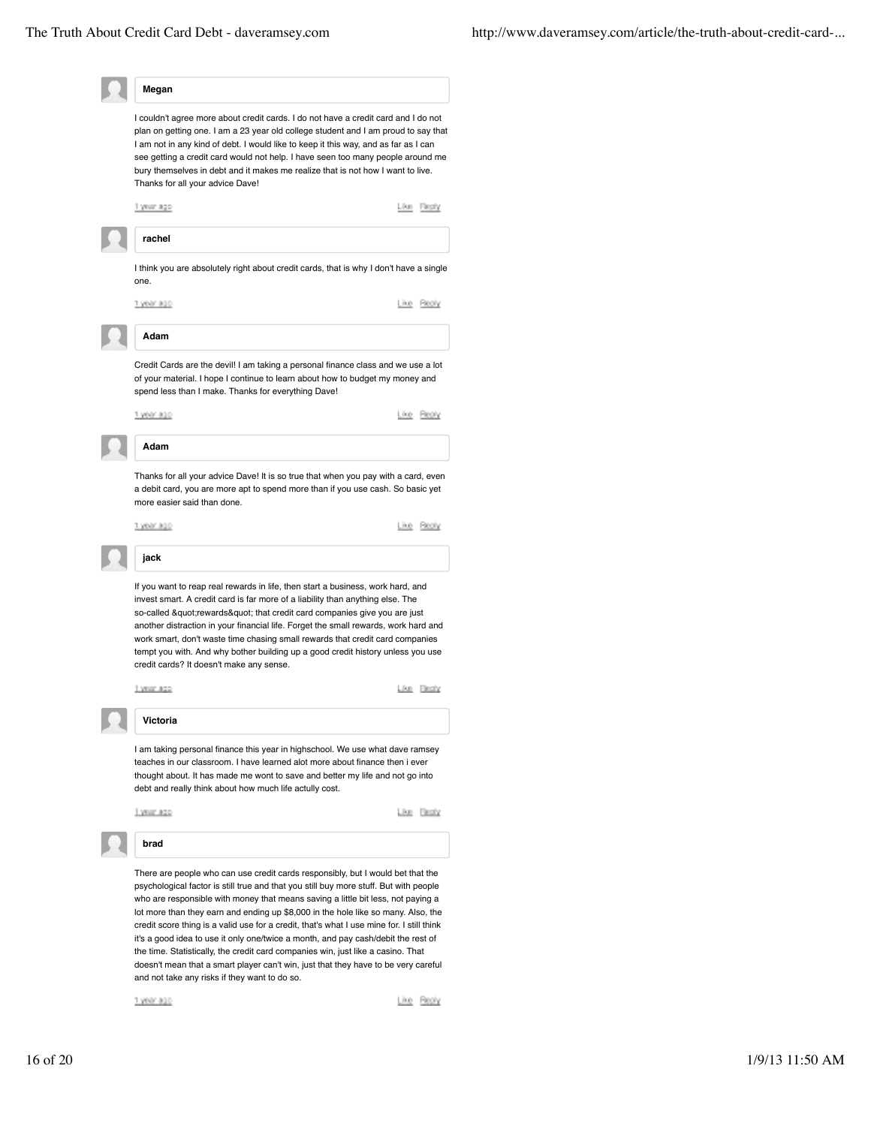| Megan                                                                                                                                                                                                                                                                                                                                                                                                                                                                                                                                                                                                                                                                                                                                                          |
|----------------------------------------------------------------------------------------------------------------------------------------------------------------------------------------------------------------------------------------------------------------------------------------------------------------------------------------------------------------------------------------------------------------------------------------------------------------------------------------------------------------------------------------------------------------------------------------------------------------------------------------------------------------------------------------------------------------------------------------------------------------|
| I couldn't agree more about credit cards. I do not have a credit card and I do not<br>plan on getting one. I am a 23 year old college student and I am proud to say that<br>I am not in any kind of debt. I would like to keep it this way, and as far as I can<br>see getting a credit card would not help. I have seen too many people around me<br>bury themselves in debt and it makes me realize that is not how I want to live.<br>Thanks for all your advice Dave!                                                                                                                                                                                                                                                                                      |
| Like Flepty<br>1 year ago                                                                                                                                                                                                                                                                                                                                                                                                                                                                                                                                                                                                                                                                                                                                      |
| rachel                                                                                                                                                                                                                                                                                                                                                                                                                                                                                                                                                                                                                                                                                                                                                         |
| I think you are absolutely right about credit cards, that is why I don't have a single<br>one.                                                                                                                                                                                                                                                                                                                                                                                                                                                                                                                                                                                                                                                                 |
| 1 year ago<br>Ling<br><b>PROFY</b>                                                                                                                                                                                                                                                                                                                                                                                                                                                                                                                                                                                                                                                                                                                             |
| Adam                                                                                                                                                                                                                                                                                                                                                                                                                                                                                                                                                                                                                                                                                                                                                           |
| Credit Cards are the devil! I am taking a personal finance class and we use a lot<br>of your material. I hope I continue to learn about how to budget my money and<br>spend less than I make. Thanks for everything Dave!                                                                                                                                                                                                                                                                                                                                                                                                                                                                                                                                      |
| 1 year ago<br>Like Realy                                                                                                                                                                                                                                                                                                                                                                                                                                                                                                                                                                                                                                                                                                                                       |
| Adam                                                                                                                                                                                                                                                                                                                                                                                                                                                                                                                                                                                                                                                                                                                                                           |
| Thanks for all your advice Dave! It is so true that when you pay with a card, even<br>a debit card, you are more apt to spend more than if you use cash. So basic yet<br>more easier said than done.                                                                                                                                                                                                                                                                                                                                                                                                                                                                                                                                                           |
| 1.5660.800<br>Like Reply                                                                                                                                                                                                                                                                                                                                                                                                                                                                                                                                                                                                                                                                                                                                       |
| jack                                                                                                                                                                                                                                                                                                                                                                                                                                                                                                                                                                                                                                                                                                                                                           |
|                                                                                                                                                                                                                                                                                                                                                                                                                                                                                                                                                                                                                                                                                                                                                                |
| If you want to reap real rewards in life, then start a business, work hard, and<br>invest smart. A credit card is far more of a liability than anything else. The<br>so-called "rewards" that credit card companies give you are just<br>another distraction in your financial life. Forget the small rewards, work hard and<br>work smart, don't waste time chasing small rewards that credit card companies<br>tempt you with. And why bother building up a good credit history unless you use<br>credit cards? It doesn't make any sense.                                                                                                                                                                                                                   |
| Like Flessly<br>1 year ago                                                                                                                                                                                                                                                                                                                                                                                                                                                                                                                                                                                                                                                                                                                                     |
| Victoria                                                                                                                                                                                                                                                                                                                                                                                                                                                                                                                                                                                                                                                                                                                                                       |
| I am taking personal finance this year in highschool. We use what dave ramsey<br>teaches in our classroom. I have learned alot more about finance then i ever<br>thought about. It has made me wont to save and better my life and not go into<br>debt and really think about how much life actully cost.                                                                                                                                                                                                                                                                                                                                                                                                                                                      |
| 1 year ago<br>Like Besty                                                                                                                                                                                                                                                                                                                                                                                                                                                                                                                                                                                                                                                                                                                                       |
| brad                                                                                                                                                                                                                                                                                                                                                                                                                                                                                                                                                                                                                                                                                                                                                           |
| There are people who can use credit cards responsibly, but I would bet that the<br>psychological factor is still true and that you still buy more stuff. But with people<br>who are responsible with money that means saving a little bit less, not paying a<br>lot more than they earn and ending up \$8,000 in the hole like so many. Also, the<br>credit score thing is a valid use for a credit, that's what I use mine for. I still think<br>it's a good idea to use it only one/twice a month, and pay cash/debit the rest of<br>the time. Statistically, the credit card companies win, just like a casino. That<br>doesn't mean that a smart player can't win, just that they have to be very careful<br>and not take any risks if they want to do so. |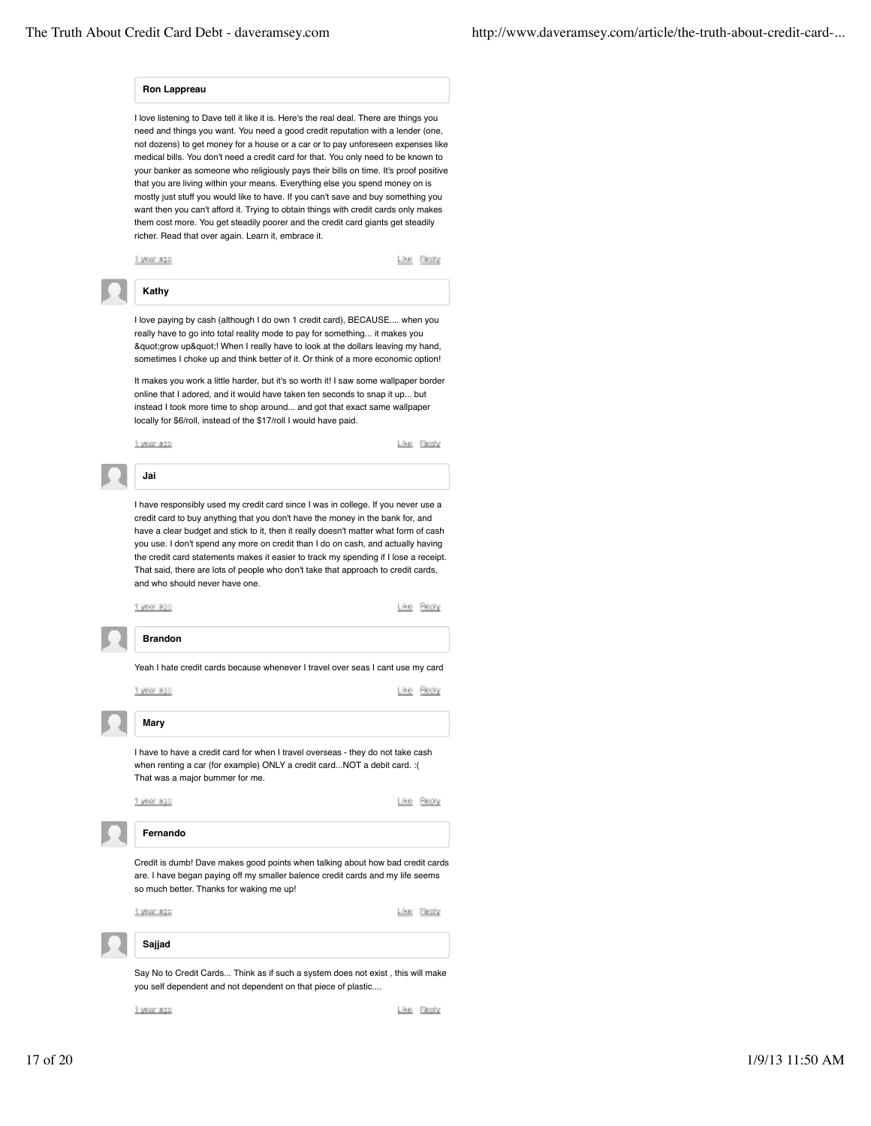### **Ron Lappreau**

I love listening to Dave tell it like it is. Here's the real deal. There are things you need and things you want. You need a good credit reputation with a lender (one, not dozens) to get money for a house or a car or to pay unforeseen expenses like medical bills. You don't need a credit card for that. You only need to be known to your banker as someone who religiously pays their bills on time. It's proof positive that you are living within your means. Everything else you spend money on is mostly just stuff you would like to have. If you can't save and buy something you want then you can't afford it. Trying to obtain things with credit cards only makes them cost more. You get steadily poorer and the credit card giants get steadily richer. Read that over again. Learn it, embrace it.



## **Kathy**

I love paying by cash (although I do own 1 credit card), BECAUSE.... when you really have to go into total reality mode to pay for something... it makes you & quot; grow up & quot;! When I really have to look at the dollars leaving my hand, sometimes I choke up and think better of it. Or think of a more economic option!

It makes you work a little harder, but it's so worth it! I saw some wallpaper border online that I adored, and it would have taken ten seconds to snap it up... but instead I took more time to shop around... and got that exact same wallpaper locally for \$6/roll, instead of the \$17/roll I would have paid.

1 year ago

Like Flech/



I have responsibly used my credit card since I was in college. If you never use a credit card to buy anything that you don't have the money in the bank for, and have a clear budget and stick to it, then it really doesn't matter what form of cash you use. I don't spend any more on credit than I do on cash, and actually having the credit card statements makes it easier to track my spending if I lose a receipt. That said, there are lots of people who don't take that approach to credit cards, and who should never have one.



Say No to Credit Cards... Think as if such a system does not exist , this will make you self dependent and not dependent on that piece of plastic....

1 year ago

Like Besty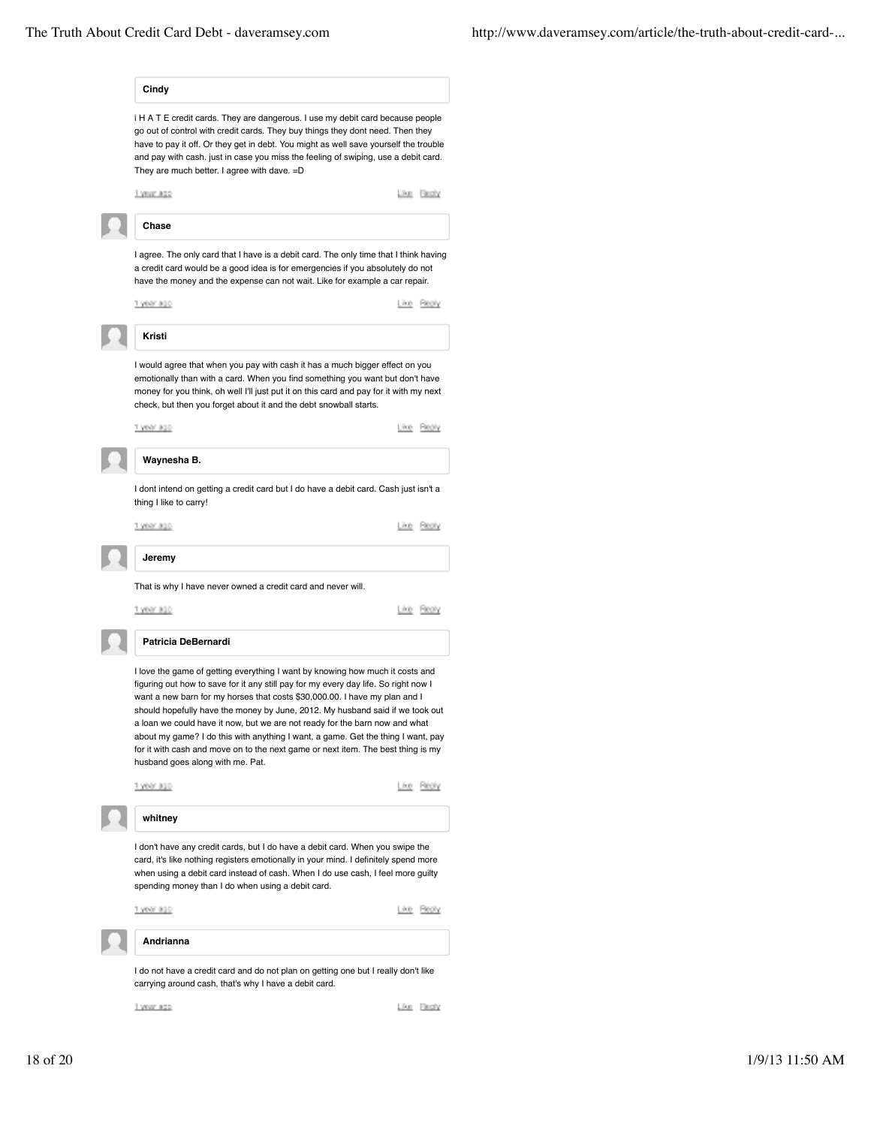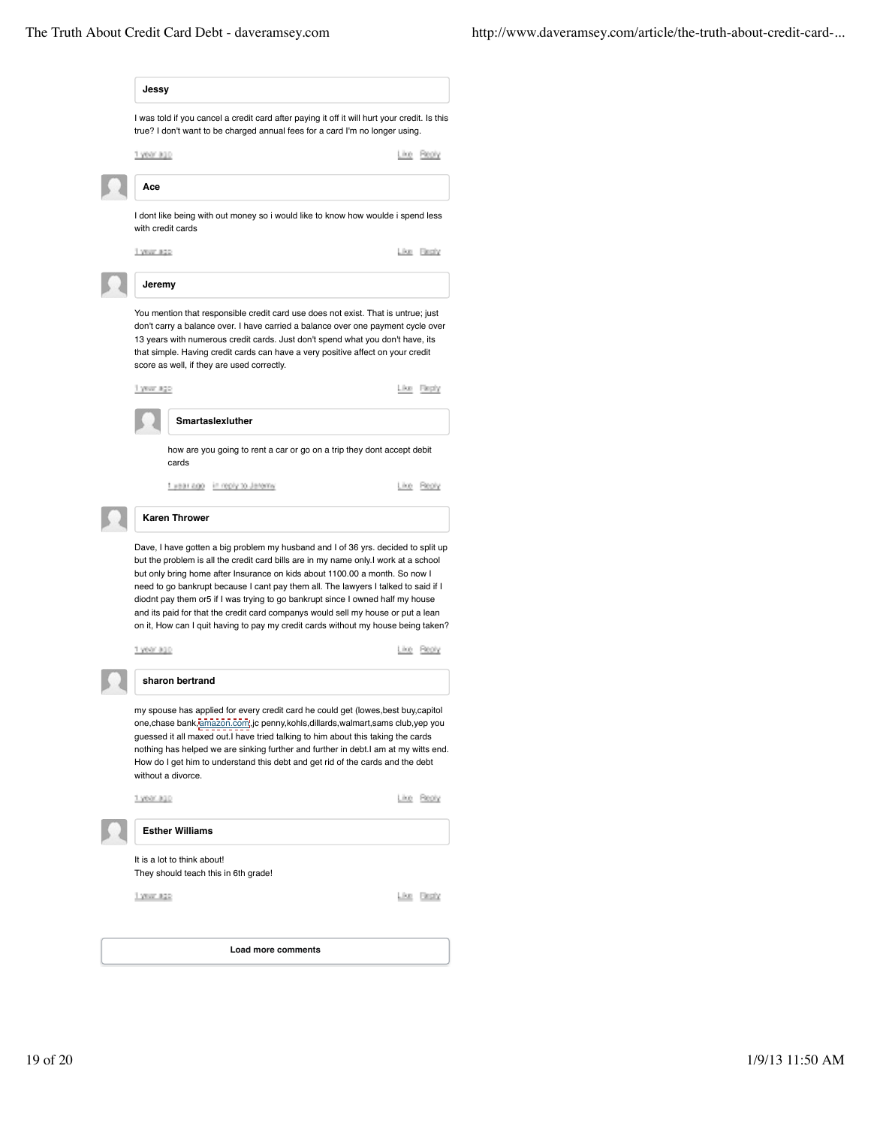| 1 YEAR #22                                                                                                                                                                                                                                                                                                                                                                                                                                                                                                                                                                                                |                      |
|-----------------------------------------------------------------------------------------------------------------------------------------------------------------------------------------------------------------------------------------------------------------------------------------------------------------------------------------------------------------------------------------------------------------------------------------------------------------------------------------------------------------------------------------------------------------------------------------------------------|----------------------|
| It is a lot to think about!<br>They should teach this in 6th grade!                                                                                                                                                                                                                                                                                                                                                                                                                                                                                                                                       | <b>Like Electric</b> |
| <b>Esther Williams</b>                                                                                                                                                                                                                                                                                                                                                                                                                                                                                                                                                                                    |                      |
| 1.9600.000                                                                                                                                                                                                                                                                                                                                                                                                                                                                                                                                                                                                | Like Beaty           |
| my spouse has applied for every credit card he could get (lowes, best buy, capitol<br>one, chase bank, amazon.com.i, jc penny, kohls, dillards, walmart, sams club, yep you<br>guessed it all maxed out.I have tried talking to him about this taking the cards<br>nothing has helped we are sinking further and further in debt. I am at my witts end.<br>How do I get him to understand this debt and get rid of the cards and the debt<br>without a divorce.                                                                                                                                           |                      |
| sharon bertrand                                                                                                                                                                                                                                                                                                                                                                                                                                                                                                                                                                                           |                      |
| 1 year ago                                                                                                                                                                                                                                                                                                                                                                                                                                                                                                                                                                                                | Like Bealy           |
| Dave, I have gotten a big problem my husband and I of 36 yrs. decided to split up<br>but the problem is all the credit card bills are in my name only. I work at a school<br>but only bring home after Insurance on kids about 1100.00 a month. So now I<br>need to go bankrupt because I cant pay them all. The lawyers I talked to said if I<br>diodnt pay them or5 if I was trying to go bankrupt since I owned half my house<br>and its paid for that the credit card companys would sell my house or put a lean<br>on it, How can I quit having to pay my credit cards without my house being taken? |                      |
| <b>Karen Thrower</b>                                                                                                                                                                                                                                                                                                                                                                                                                                                                                                                                                                                      |                      |
| 1 year ago in reply to Jeremy                                                                                                                                                                                                                                                                                                                                                                                                                                                                                                                                                                             | Like Reply           |
| how are you going to rent a car or go on a trip they dont accept debit<br>cards                                                                                                                                                                                                                                                                                                                                                                                                                                                                                                                           |                      |
| Smartaslexluther                                                                                                                                                                                                                                                                                                                                                                                                                                                                                                                                                                                          |                      |
| 1 year ago                                                                                                                                                                                                                                                                                                                                                                                                                                                                                                                                                                                                | Like Fiegly          |
| You mention that responsible credit card use does not exist. That is untrue; just<br>don't carry a balance over. I have carried a balance over one payment cycle over<br>13 years with numerous credit cards. Just don't spend what you don't have, its<br>that simple. Having credit cards can have a very positive affect on your credit<br>score as well, if they are used correctly.                                                                                                                                                                                                                  |                      |
| Jeremy                                                                                                                                                                                                                                                                                                                                                                                                                                                                                                                                                                                                    |                      |
| 1.YEW 820                                                                                                                                                                                                                                                                                                                                                                                                                                                                                                                                                                                                 | Like Fleshy          |
| I dont like being with out money so i would like to know how woulde i spend less<br>with credit cards                                                                                                                                                                                                                                                                                                                                                                                                                                                                                                     |                      |
| Асе                                                                                                                                                                                                                                                                                                                                                                                                                                                                                                                                                                                                       |                      |
|                                                                                                                                                                                                                                                                                                                                                                                                                                                                                                                                                                                                           | Like Reply           |
| 1 year ago                                                                                                                                                                                                                                                                                                                                                                                                                                                                                                                                                                                                |                      |
| true? I don't want to be charged annual fees for a card I'm no longer using.                                                                                                                                                                                                                                                                                                                                                                                                                                                                                                                              |                      |